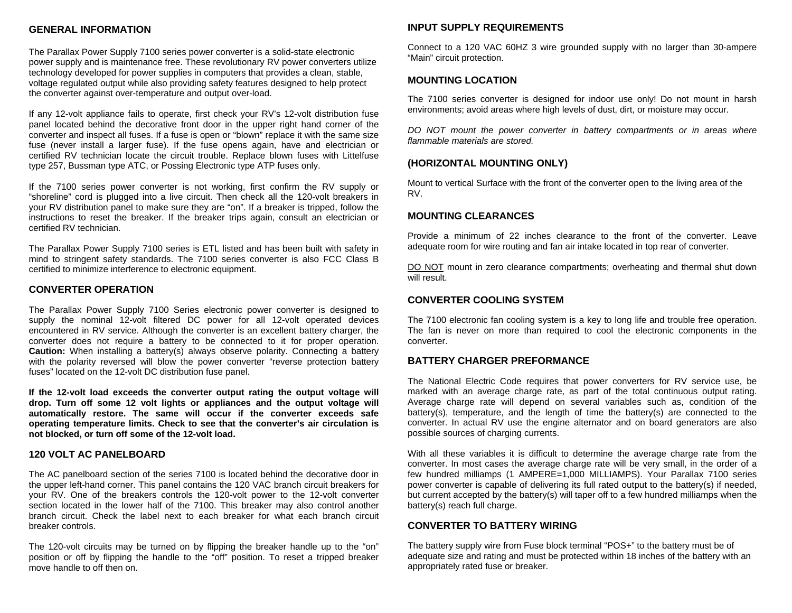#### **GENERAL INFORMATION**

The Parallax Power Supply 7100 series power converter is a solid-state electronic power supply and is maintenance free. These revolutionary RV power converters utilize technology developed for power supplies in computers that provides a clean, stable, voltage regulated output while also providing safety features designed to help protect the converter against over-temperature and output over-load.

If any 12-volt appliance fails to operate, first check your RV's 12-volt distribution fuse panel located behind the decorative front door in the upper right hand corner of the converter and inspect all fuses. If a fuse is open or "blown" replace it with the same size fuse (never install a larger fuse). If the fuse opens again, have and electrician or certified RV technician locate the circuit trouble. Replace blown fuses with Littelfuse type 257, Bussman type ATC, or Possing Electronic type ATP fuses only.

If the 7100 series power converter is not working, first confirm the RV supply or "shoreline" cord is plugged into a live circuit. Then check all the 120-volt breakers in your RV distribution panel to make sure they are "on". If a breaker is tripped, follow the instructions to reset the breaker. If the breaker trips again, consult an electrician or certified RV technician.

The Parallax Power Supply 7100 series is ETL listed and has been built with safety in mind to stringent safety standards. The 7100 series converter is also FCC Class B certified to minimize interference to electronic equipment.

#### **CONVERTER OPERATION**

The Parallax Power Supply 7100 Series electronic power converter is designed to supply the nominal 12-volt filtered DC power for all 12-volt operated devices encountered in RV service. Although the converter is an excellent battery charger, the converter does not require a battery to be connected to it for proper operation. **Caution:** When installing a battery(s) always observe polarity. Connecting a battery with the polarity reversed will blow the power converter "reverse protection battery fuses" located on the 12-volt DC distribution fuse panel.

**If the 12-volt load exceeds the converter output rating the output voltage will drop. Turn off some 12 volt lights or appliances and the output voltage will automatically restore. The same will occur if the converter exceeds safe operating temperature limits. Check to see that the converter's air circulation is not blocked, or turn off some of the 12-volt load.** 

#### **120 VOLT AC PANELBOARD**

The AC panelboard section of the series 7100 is located behind the decorative door in the upper left-hand corner. This panel contains the 120 VAC branch circuit breakers for your RV. One of the breakers controls the 120-volt power to the 12-volt converter section located in the lower half of the 7100. This breaker may also control another branch circuit. Check the label next to each breaker for what each branch circuit breaker controls.

The 120-volt circuits may be turned on by flipping the breaker handle up to the "on" position or off by flipping the handle to the "off" position. To reset a tripped breaker move handle to off then on.

#### **INPUT SUPPLY REQUIREMENTS**

Connect to a 120 VAC 60HZ 3 wire grounded supply with no larger than 30-ampere "Main" circuit protection.

#### **MOUNTING LOCATION**

The 7100 series converter is designed for indoor use only! Do not mount in harsh environments; avoid areas where high levels of dust, dirt, or moisture may occur.

*DO NOT mount the power converter in battery compartments or in areas where flammable materials are stored.* 

#### **(HORIZONTAL MOUNTING ONLY)**

Mount to vertical Surface with the front of the converter open to the living area of the RV.

#### **MOUNTING CLEARANCES**

Provide a minimum of 22 inches clearance to the front of the converter. Leave adequate room for wire routing and fan air intake located in top rear of converter.

DO NOT mount in zero clearance compartments; overheating and thermal shut down will result.

#### **CONVERTER COOLING SYSTEM**

The 7100 electronic fan cooling system is a key to long life and trouble free operation. The fan is never on more than required to cool the electronic components in the converter.

#### **BATTERY CHARGER PREFORMANCE**

The National Electric Code requires that power converters for RV service use, be marked with an average charge rate, as part of the total continuous output rating. Average charge rate will depend on several variables such as, condition of the battery(s), temperature, and the length of time the battery(s) are connected to the converter. In actual RV use the engine alternator and on board generators are also possible sources of charging currents.

With all these variables it is difficult to determine the average charge rate from the converter. In most cases the average charge rate will be very small, in the order of a few hundred milliamps (1 AMPERE=1,000 MILLIAMPS). Your Parallax 7100 series power converter is capable of delivering its full rated output to the battery(s) if needed, but current accepted by the battery(s) will taper off to a few hundred milliamps when the battery(s) reach full charge.

#### **CONVERTER TO BATTERY WIRING**

The battery supply wire from Fuse block terminal "POS+" to the battery must be of adequate size and rating and must be protected within 18 inches of the battery with an appropriately rated fuse or breaker.